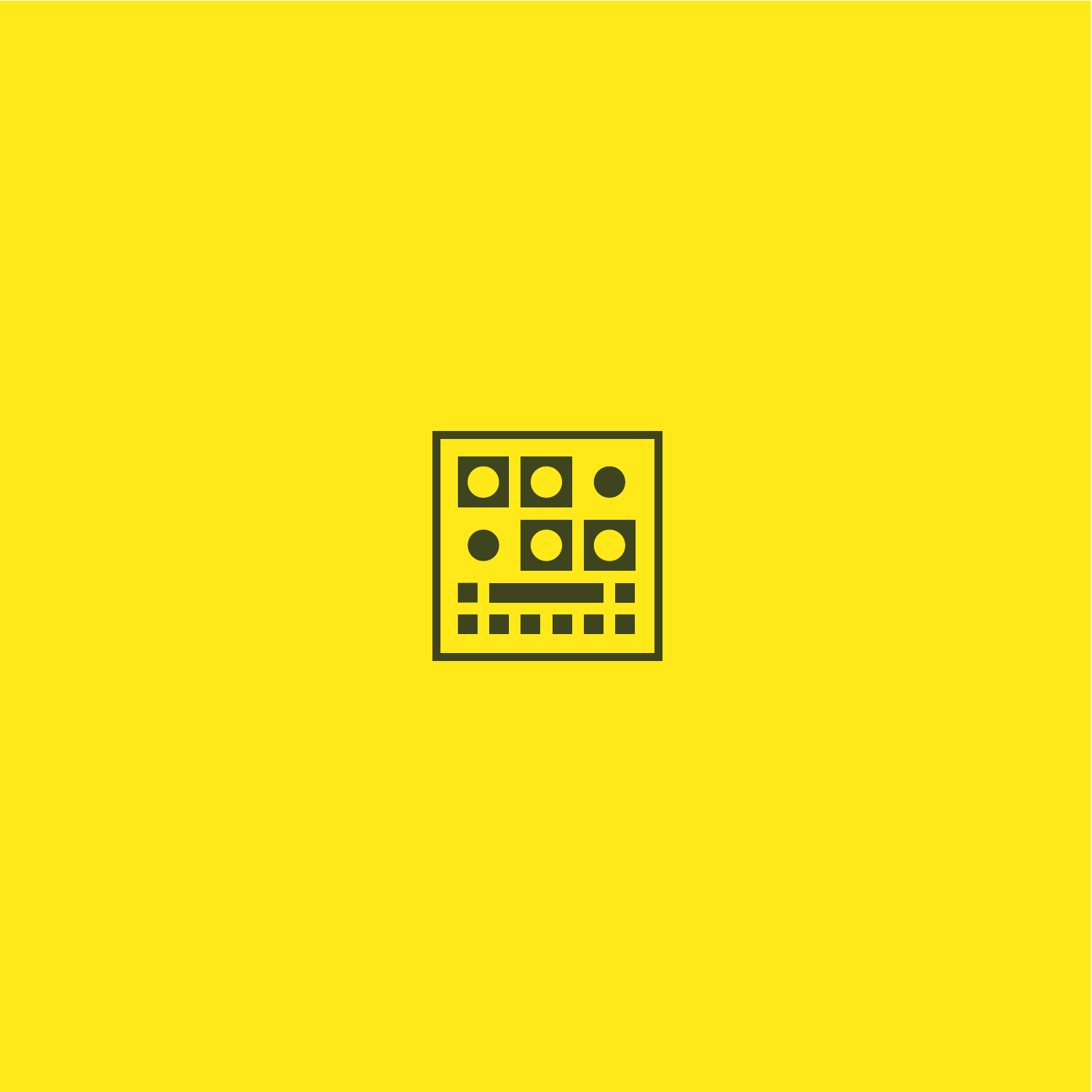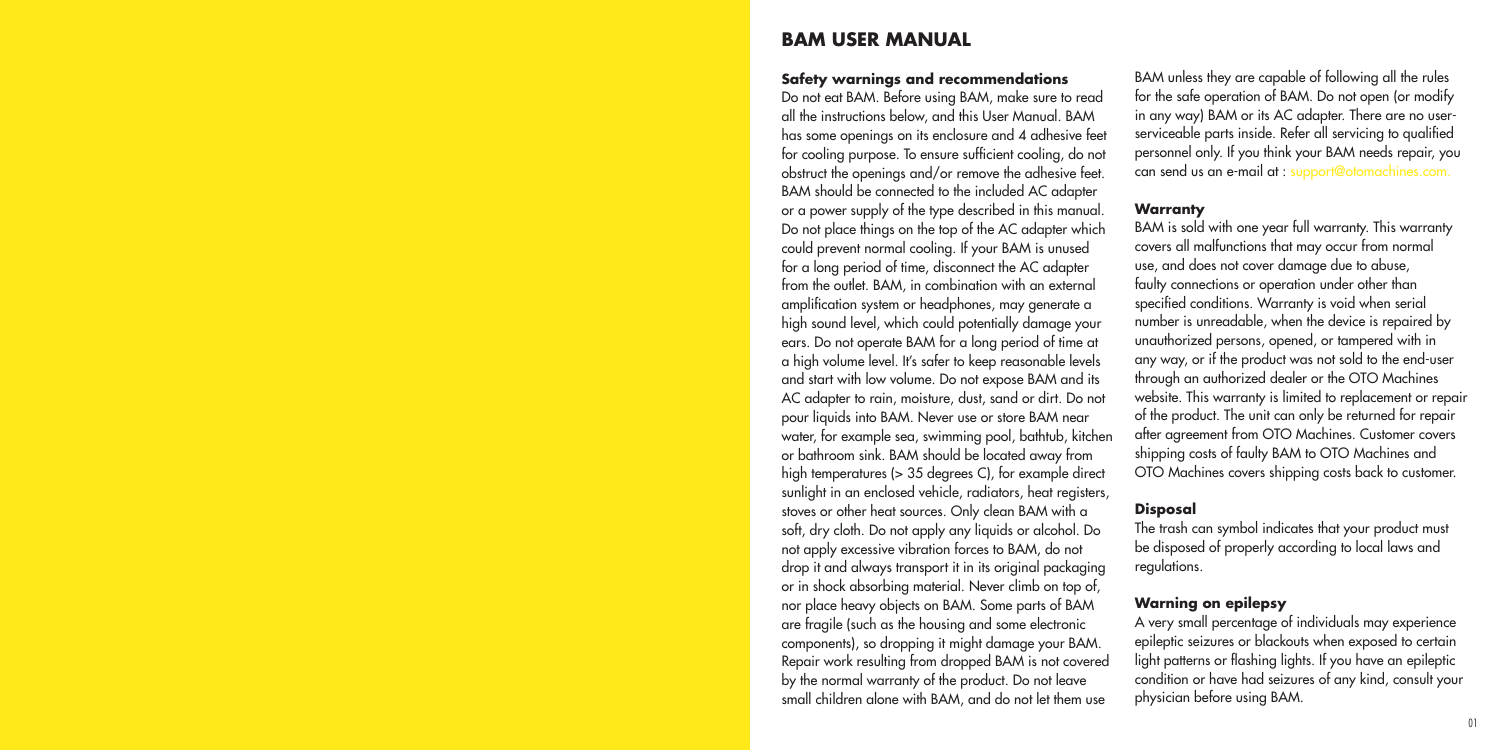#### **BAM USER MANUAL**

#### **Safety warnings and recommendations**

Do not eat BAM. Before using BAM, make sure to read all the instructions below, and this User Manual. BAM has some openings on its enclosure and 4 adhesive feet for cooling purpose. To ensure suf fcient cooling, do not obstruct the openings and/or remove the adhesive feet. BAM should be connected to the included AC adapter or a power supply of the type described in this manual. Do not place things on the top of the AC adapter which could prevent normal cooling. If your BAM is unused for a long period of time, disconnect the AC adapter from the outlet. BAM, in combination with an external ampli fcation system or headphones, may generate a high sound level, which could potentially damage your ears. Do not operate BAM for a long period of time at a high volume level. It's safer to keep reasonable levels and start with low volume. Do not expose BAM and its AC adapter to rain, moisture, dust, sand or dirt. Do not pour liquids into BAM. Never use or store BAM near water, for example sea, swimming pool, bathtub, kitchen or bathroom sink. BAM should be located away from high temperatures (> 35 degrees C), for example direct sunlight in an enclosed vehicle, radiators, heat registers, stoves or other heat sources. Only clean BAM with a soft, dry cloth. Do not apply any liquids or alcohol. Do not apply excessive vibration forces to BAM, do not drop it and always transport it in its original packaging or in shock absorbing material. Never climb on top of, nor place heavy objects on BAM. Some parts of BAM are fragile (such as the housing and some electronic components), so dropping it might damage your BAM. Repair work resulting from dropped BAM is not covered by the normal warranty of the product. Do not leave small children alone with BAM, and do not let them use

BAM unless they are capable of following all the rules for the safe operation of BAM. Do not open (or modify in any way) BAM or its AC adapter. There are no userserviceable parts inside. Refer all servicing to qualifed personnel only. If you think your BAM needs repair, you can send us an e-mail at : support@otomachines.com.

#### **Warranty**

BAM is sold with one year full warranty. This warranty covers all malfunctions that may occur from normal use, and does not cover damage due to abuse, faulty connections or operation under other than speci fed conditions. Warranty is void when serial number is unreadable, when the device is repaired by unauthorized persons, opened, or tampered with in any way, or if the product was not sold to the end-user through an authorized dealer or the OTO Machines website. This warranty is limited to replacement or repair of the product. The unit can only be returned for repair after agreement from OTO Machines. Customer covers shipping costs of faulty BAM to OTO Machines and OTO Machines covers shipping costs back to customer.

#### **Disposal**

The trash can symbol indicates that your product must be disposed of properly according to local laws and regulations.

#### **Warning on epilepsy**

A very small percentage of individuals may experience epileptic seizures or blackouts when exposed to certain light patterns or fashing lights. If you have an epileptic condition or have had seizures of any kind, consult your physician before using BAM.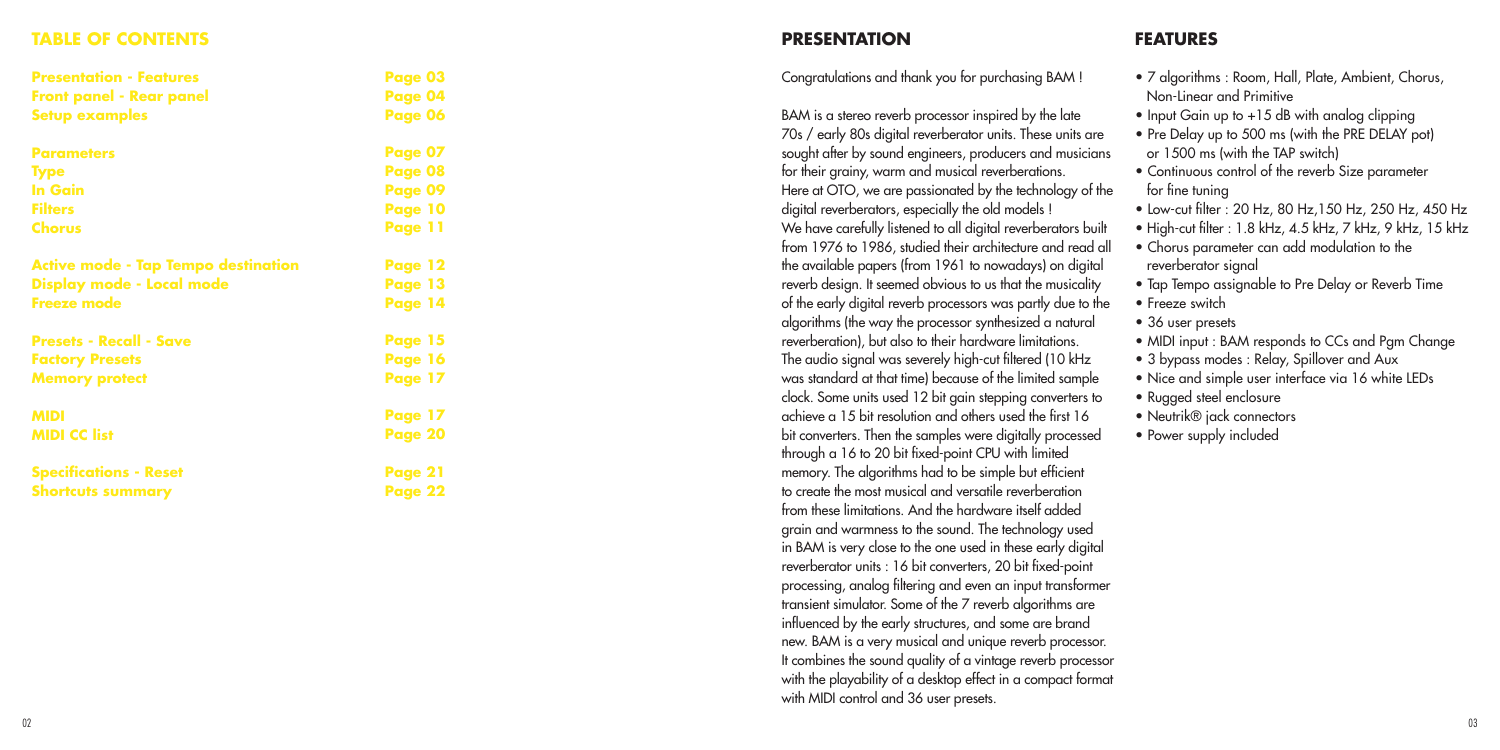### **TABLE OF CONTENTS**

| <b>Presentation - Features</b>             | Page 03 |
|--------------------------------------------|---------|
| <b>Front panel - Rear panel</b>            | Page 04 |
| <b>Setup examples</b>                      | Page 06 |
| <b>Parameters</b>                          | Page 07 |
| <b>Type</b>                                | Page 08 |
| <b>In Gain</b>                             | Page 09 |
| <b>Filters</b>                             | Page 10 |
| <b>Chorus</b>                              | Page 11 |
| <b>Active mode - Tap Tempo destination</b> | Page 12 |
| Display mode - Local mode                  | Page 13 |
| <b>Freeze mode</b>                         | Page 14 |
| <b>Presets - Recall - Save</b>             | Page 15 |
| <b>Factory Presets</b>                     | Page 16 |
| <b>Memory protect</b>                      | Page 17 |
| <b>MIDI</b>                                | Page 17 |
| <b>MIDI CC list</b>                        | Page 20 |
| <b>Specifications - Reset</b>              | Page 21 |
| <b>Shortcuts summary</b>                   | Page 22 |

# **PRESENTATION**

Congratulations and thank you for purchasing BAM !

BAM is a stereo reverb processor inspired by the late 70s / early 80s digital reverberator units. These units are sought after by sound engineers, producers and musicians for their grainy, warm and musical reverberations. Here at OTO, we are passionated by the technology of the digital reverberators, especially the old models ! We have carefully listened to all digital reverberators built from 1976 to 1986, studied their architecture and read all the available papers (from 1961 to nowadays) on digital reverb design. It seemed obvious to us that the musicality of the early digital reverb processors was partly due to the algorithms (the way the processor synthesized a natural reverberation), but also to their hardware limitations. The audio signal was severely high-cut fltered (10 kHz was standard at that time) because of the limited sample clock. Some units used 12 bit gain stepping converters to achieve a 15 bit resolution and others used the first 16 bit converters. Then the samples were digitally processed through a 16 to 20 bit fxed-point CPU with limited memory. The algorithms had to be simple but efficient to create the most musical and versatile reverberation from these limitations. And the hardware itself added grain and warmness to the sound. The technology used in BAM is very close to the one used in these early digital reverberator units : 16 bit converters, 20 bit fxed-point processing, analog fltering and even an input transformer transient simulator. Some of the 7 reverb algorithms are in fuenced by the early structures, and some are brand new. BAM is a very musical and unique reverb processor. It combines the sound quality of a vintage reverb processor with the playability of a desktop effect in a compact format with MIDI control and 36 user presets.

## **FEATURES**

- 7 algorithms : Room, Hall, Plate, Ambient, Chorus, Non-Linear and Primitive
- $\bullet$  Input Gain up to  $+15$  dB with analog clipping
- Pre Delay up to 500 ms (with the PRE DELAY pot) or 1500 ms (with the TAP switch)
- Continuous control of the reverb Size parameter for fine tuning
- Low-cut filter : 20 Hz, 80 Hz, 150 Hz, 250 Hz, 450 Hz
- High-cut filter : 1.8 kHz, 4.5 kHz, 7 kHz, 9 kHz, 15 kHz
- Chorus parameter can add modulation to the reverberator signal
- Tap Tempo assignable to Pre Delay or Reverb Time  $\bullet$  Freeze switch
- 
- 36 user presets
- MIDI input : BAM responds to CCs and Pgm Change
- 3 bypass modes : Relay, Spillover and Aux
- Nice and simple user interface via 16 white LEDs
- Rugged steel enclosure
- Neutrik® jack connectors
- Power supply included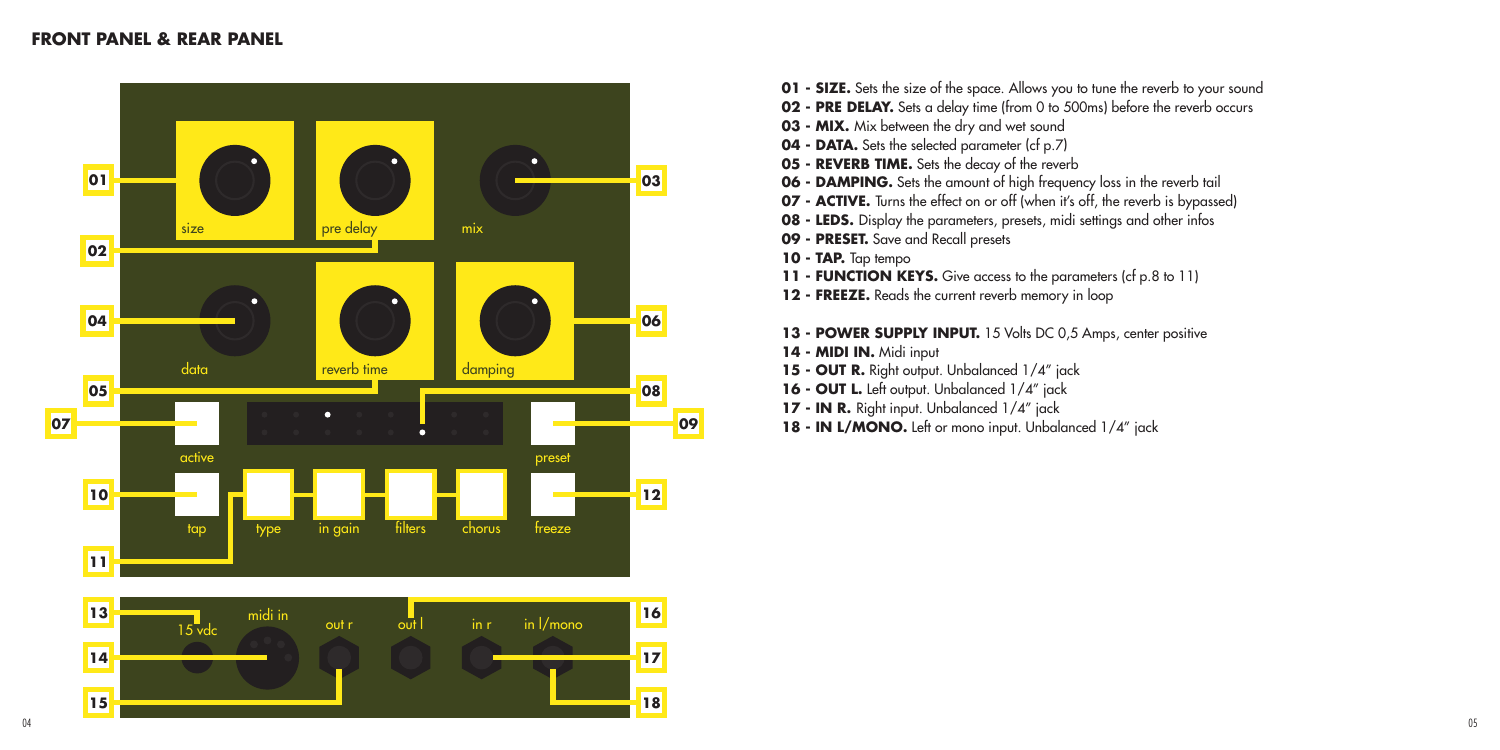

- **01 SIZE.** Sets the size of the space. Allows you to tune the reverb to your sound
- **02 PRE DELAY.** Sets a delay time (from 0 to 500ms) before the reverb occurs
- **03 MIX.** Mix between the dry and wet sound
- **04 DATA.** Sets the selected parameter (cf p.7)
- **05 REVERB TIME.** Sets the decay of the reverb
- **06 DAMPING.** Sets the amount of high frequency loss in the reverb tail
- **07 ACTIVE.** Turns the effect on or off (when it's off, the reverb is bypassed)
- **08 LEDS.** Display the parameters, presets, midi settings and other infos
- **09 PRESET.** Save and Recall presets
- **10 TAP.** Tap tempo
- **11 FUNCTION KEYS.** Give access to the parameters (cf p.8 to 11)
- 12 FREEZE. Reads the current reverb memory in loop
- **13 POWER SUPPLY INPUT.** 15 Volts DC 0,5 Amps, center positive
- **14 MIDI IN.** Midi input
- **15 OUT R.** Right output. Unbalanced 1/4" jack
- **16 OUT L.** Left output. Unbalanced 1/4" jack
- **17 IN R.** Right input. Unbalanced 1/4" jack
- **18 IN L/MONO.** Left or mono input. Unbalanced 1/4" jack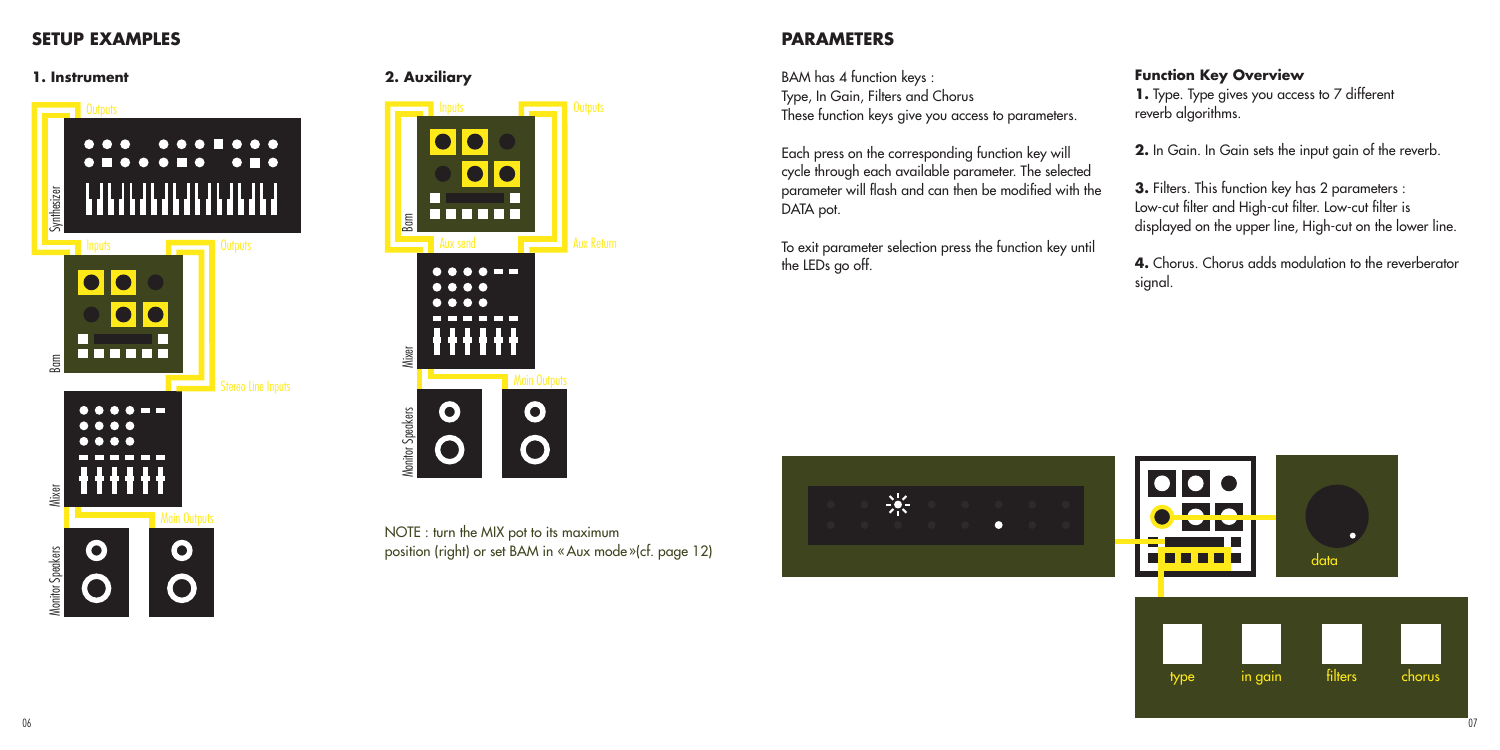## **SETUP EXAMPLES**



#### **2. Auxiliary**



NOTE : turn the MIX pot to its maximum position (right) or set BAM in «Aux mode»(cf. page 12)

## **PARAMETERS**

Type, In Gain, Filters and Chorus These function keys give you access to parameters.

Each press on the corresponding function key will cycle through each available parameter. The selected parameter will flash and can then be modified with the DATA pot.

To exit parameter selection press the function key until the LEDs go off.

**1.** Type. Type gives you access to 7 different reverb algorithms.

**2.** In Gain. In Gain sets the input gain of the reverb.

**3.** Filters. This function key has 2 parameters : Low-cut filter and High-cut filter. Low-cut filter is displayed on the upper line, High-cut on the lower line.

**4.** Chorus. Chorus adds modulation to the reverberator signal.





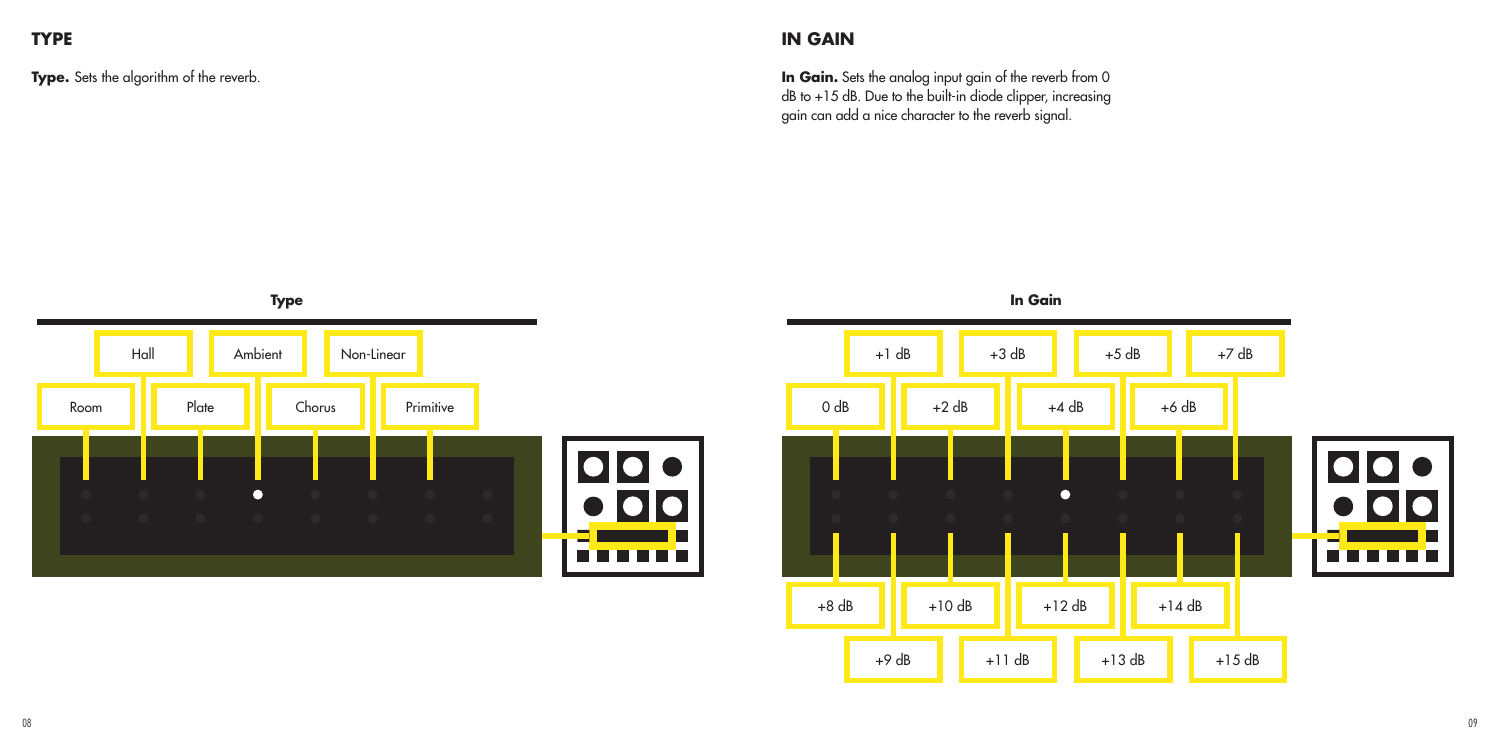## **TYPE**

**Type.** Sets the algorithm of the reverb.

# **IN GAIN**

**In Gain.** Sets the analog input gain of the reverb from 0 dB to +15 dB. Due to the built-in diode clipper, increasing gain can add a nice character to the reverb signal.

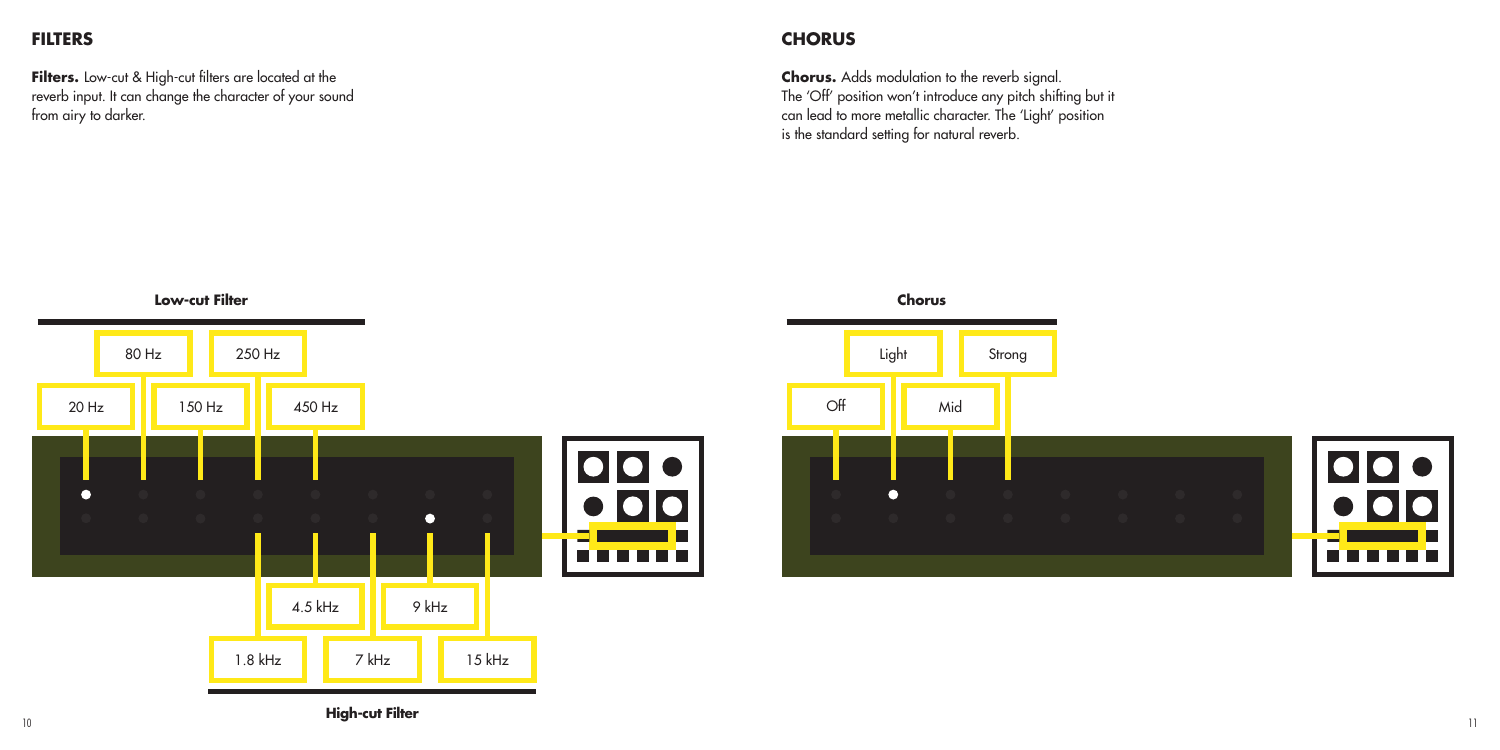## **FILTERS**

Filters. Low-cut & High-cut filters are located at the reverb input. It can change the character of your sound from airy to darker.

## **CHORUS**

**Chorus.** Adds modulation to the reverb signal. The 'Off' position won't introduce any pitch shifting but it can lead to more metallic character. The 'Light' position is the standard setting for natural reverb.



10 and the contract of the contract of the contract of the contract of the contract of the contract of the contract of the contract of the contract of the contract of the contract of the contract of the contract of the con **High-cut Filter**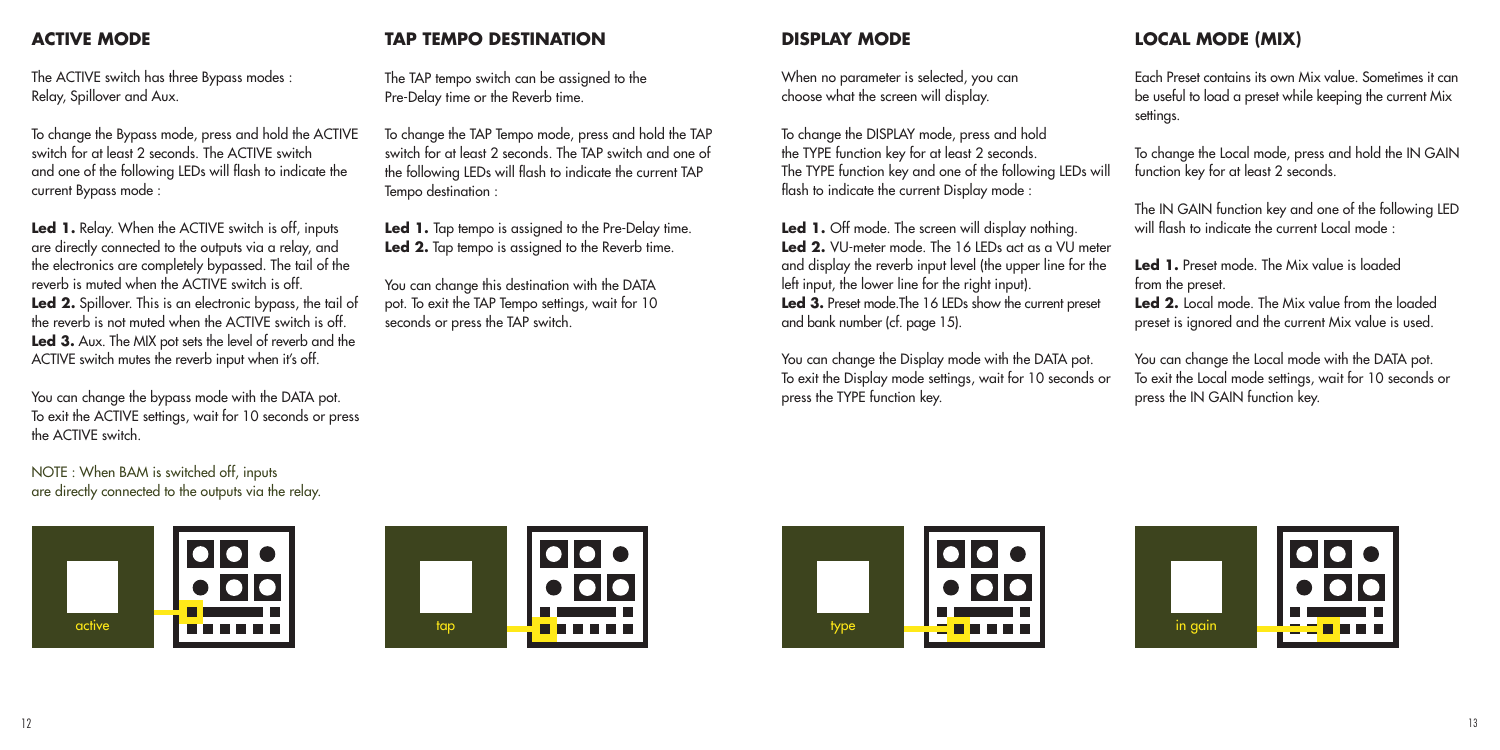## **ACTIVE MODE**

The ACTIVE switch has three Bypass modes : Relay, Spillover and Aux.

To change the Bypass mode, press and hold the ACTIVE switch for at least 2 seconds. The ACTIVE switch and one of the following LEDs will flash to indicate the current Bypass mode :

Led 1. Relay. When the ACTIVE switch is off, inputs are directly connected to the outputs via a relay, and the electronics are completely bypassed. The tail of the reverb is muted when the ACTIVE switch is off. Led 2. Spillover. This is an electronic bypass, the tail of the reverb is not muted when the ACTIVE switch is off. Led 3. Aux. The MIX pot sets the level of reverb and the ACTIVE switch mutes the reverb input when it's off.

You can change the bypass mode with the DATA pot. To exit the ACTIVE settings, wait for 10 seconds or press the ACTIVE switch.

NOTE : When BAM is switched off, inputs are directly connected to the outputs via the relay.





**TAP TEMPO DESTINATION**

Pre-Delay time or the Reverb time.

Tempo destination :

The TAP tempo switch can be assigned to the

To change the TAP Tempo mode, press and hold the TAP switch for at least 2 seconds. The TAP switch and one of the following LEDs will flash to indicate the current TAP

Led 1. Tap tempo is assigned to the Pre-Delay time. Led 2. Tap tempo is assigned to the Reverb time.

You can change this destination with the DATA pot. To exit the TAP Tempo settings, wait for 10

seconds or press the TAP switch.

# **DISPLAY MODE**

When no parameter is selected, you can choose what the screen will display.

To change the DISPLAY mode, press and hold the TYPE function key for at least 2 seconds. The TYPE function key and one of the following LEDs will flash to indicate the current Display mode :

Led 1. Off mode. The screen will display nothing. **Led 2.** VU-meter mode. The 16 LEDs act as a VU meter and display the reverb input level (the upper line for the left input, the lower line for the right input). Led 3. Preset mode. The 16 LEDs show the current preset and bank number (cf. page 15).

You can change the Display mode with the DATA pot. To exit the Display mode settings, wait for 10 seconds or press the TYPE function key.

# **LOCAL MODE (MIX)**

Each Preset contains its own Mix value. Sometimes it can be useful to load a preset while keeping the current Mix settings.

To change the Local mode, press and hold the IN GAIN function key for at least 2 seconds.

The IN GAIN function key and one of the following LED will flash to indicate the current Local mode :

Led 1. Preset mode. The Mix value is loaded from the preset.

**Led 2.** Local mode. The Mix value from the loaded preset is ignored and the current Mix value is used.

You can change the Local mode with the DATA pot. To exit the Local mode settings, wait for 10 seconds or press the IN GAIN function key.



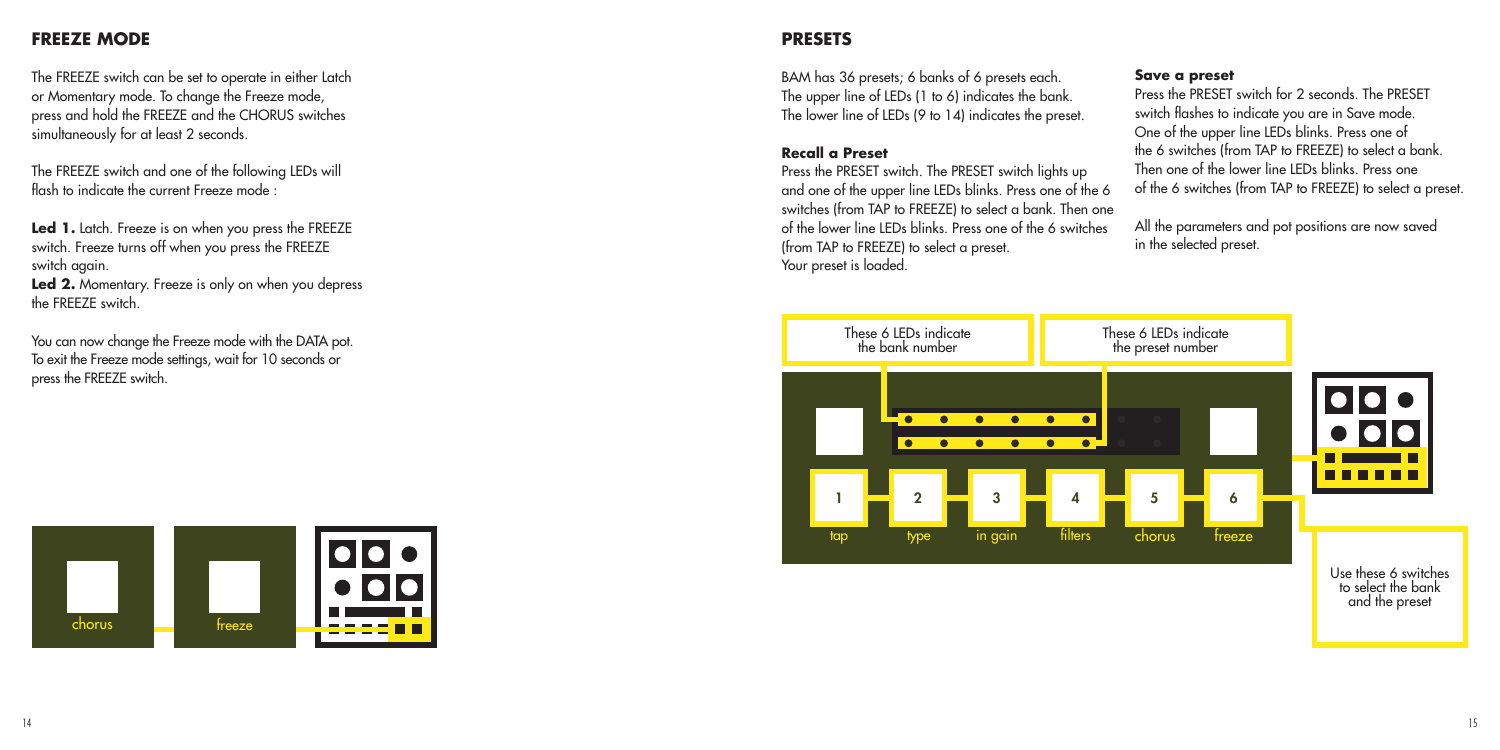## **FREEZE MODE**

The FREEZE switch can be set to operate in either Latch or Momentary mode. To change the Freeze mode, press and hold the FREEZE and the CHORUS switches simultaneously for at least 2 seconds.

The FREEZE switch and one of the following LEDs will flash to indicate the current Freeze mode :

Led 1. Latch. Freeze is on when you press the FREEZE switch. Freeze turns off when you press the FREEZE switch again. Led 2. Momentary. Freeze is only on when you depress the FREEZE switch.

You can now change the Freeze mode with the DATA pot. To exit the Freeze mode settings, wait for 10 seconds or press the FREEZE switch.



# **PRESETS**

BAM has 36 presets; 6 banks of 6 presets each. The upper line of LEDs (1 to 6) indicates the bank. The lower line of LEDs (9 to 14) indicates the preset.

#### **Recall a Preset**

Press the PRESET switch. The PRESET switch lights up and one of the upper line LEDs blinks. Press one of the 6 switches (from TAP to FREEZE) to select a bank. Then one of the lower line LEDs blinks. Press one of the 6 switches (from TAP to FREEZE) to select a preset. Your preset is loaded.

#### **Save a preset**

Press the PRESET switch for 2 seconds. The PRESET switch fashes to indicate you are in Save mode. One of the upper line LEDs blinks. Press one of the 6 switches (from TAP to FREEZE) to select a bank. Then one of the lower line LEDs blinks. Press one of the 6 switches (from TAP to FREEZE) to select a preset.

All the parameters and pot positions are now saved in the selected preset.



to select the bank and the preset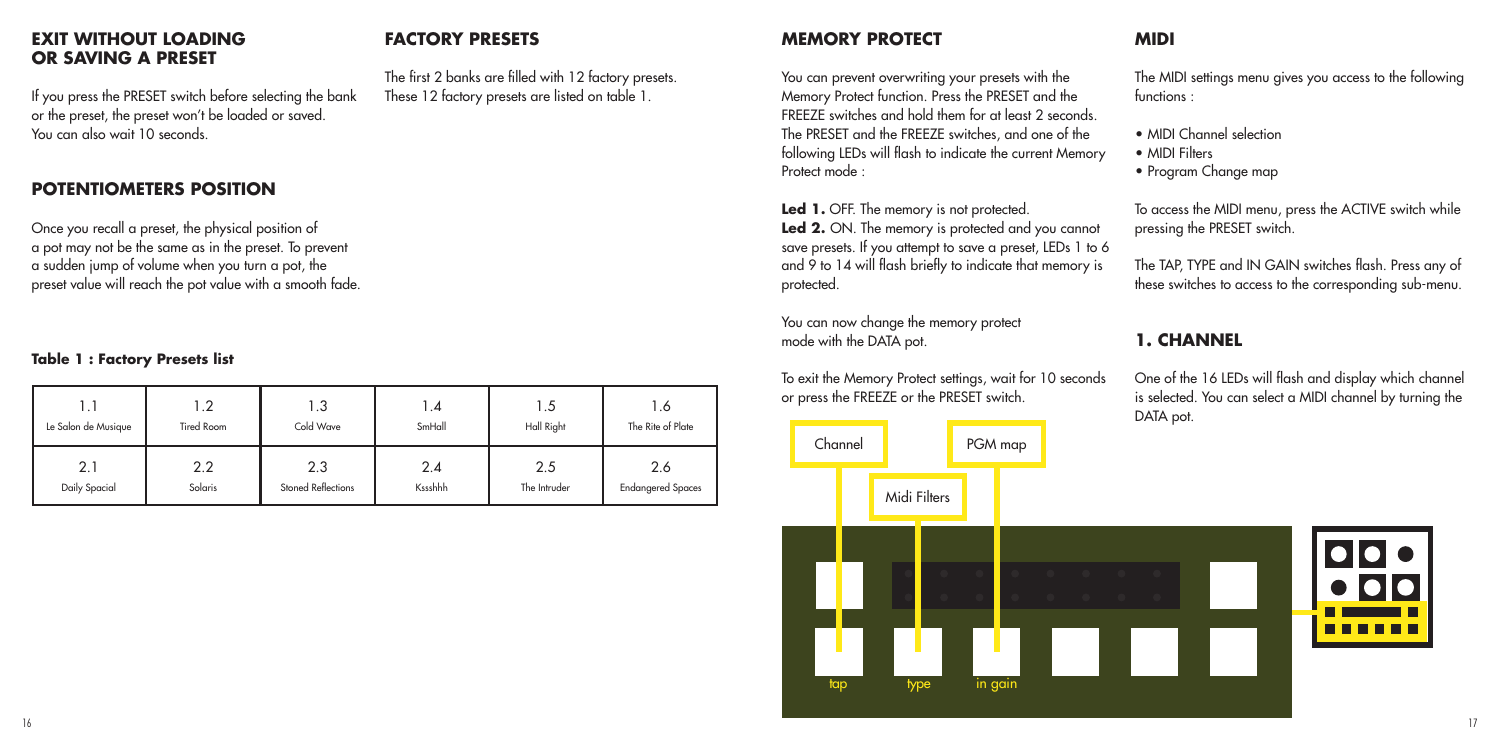## **EXIT WITHOUT LOADING OR SAVING A PRESET**

If you press the PRESET switch before selecting the bank or the preset, the preset won't be loaded or saved. You can also wait 10 seconds.

## **POTENTIOMETERS POSITION**

Once you recall a preset, the physical position of a pot may not be the same as in the preset. To prevent a sudden jump of volume when you turn a pot, the preset value will reach the pot value with a smooth fade.

#### **Table 1 : Factory Presets list**

| Le Salon de Musique | . . 2<br>Tired Room | 1.3<br>Cold Wave   | l .4<br>SmHall | 1.5<br>Hall Right | . 6<br>The Rite of Plate |
|---------------------|---------------------|--------------------|----------------|-------------------|--------------------------|
| 2.1                 | 2.2                 | 2.3                | 2.4            | 2.5               | 2.6                      |
| Daily Spacial       | Solaris             | Stoned Reflections | Kssshhh        | The Intruder      | <b>Endangered Spaces</b> |

## **FACTORY PRESETS**

The first 2 banks are filled with 12 factory presets. These 12 factory presets are listed on table 1.

## **MEMORY PROTECT**

You can prevent overwriting your presets with the Memory Protect function. Press the PRESET and the FREEZE switches and hold them for at least 2 seconds. The PRESET and the FREEZE switches, and one of the following LEDs will flash to indicate the current Memory Protect mode :

Led 1. OFF. The memory is not protected. Led 2. ON. The memory is protected and you cannot save presets. If you attempt to save a preset, LEDs 1 to 6 and 9 to 14 will flash briefly to indicate that memory is protected.

You can now change the memory protect mode with the DATA pot.

To exit the Memory Protect settings, wait for 10 seconds or press the FREEZE or the PRESET switch.

## **MIDI**

The MIDI settings menu gives you access to the following functions :

- MIDI Channel selection
- MIDI Filters
- Program Change map

To access the MIDI menu, press the ACTIVE switch while pressing the PRESET switch.

The TAP, TYPE and IN GAIN switches flash. Press any of these switches to access to the corresponding sub-menu.

## **1. CHANNEL**

One of the 16 LEDs will flash and display which channel is selected. You can select a MIDI channel by turning the DATA pot.

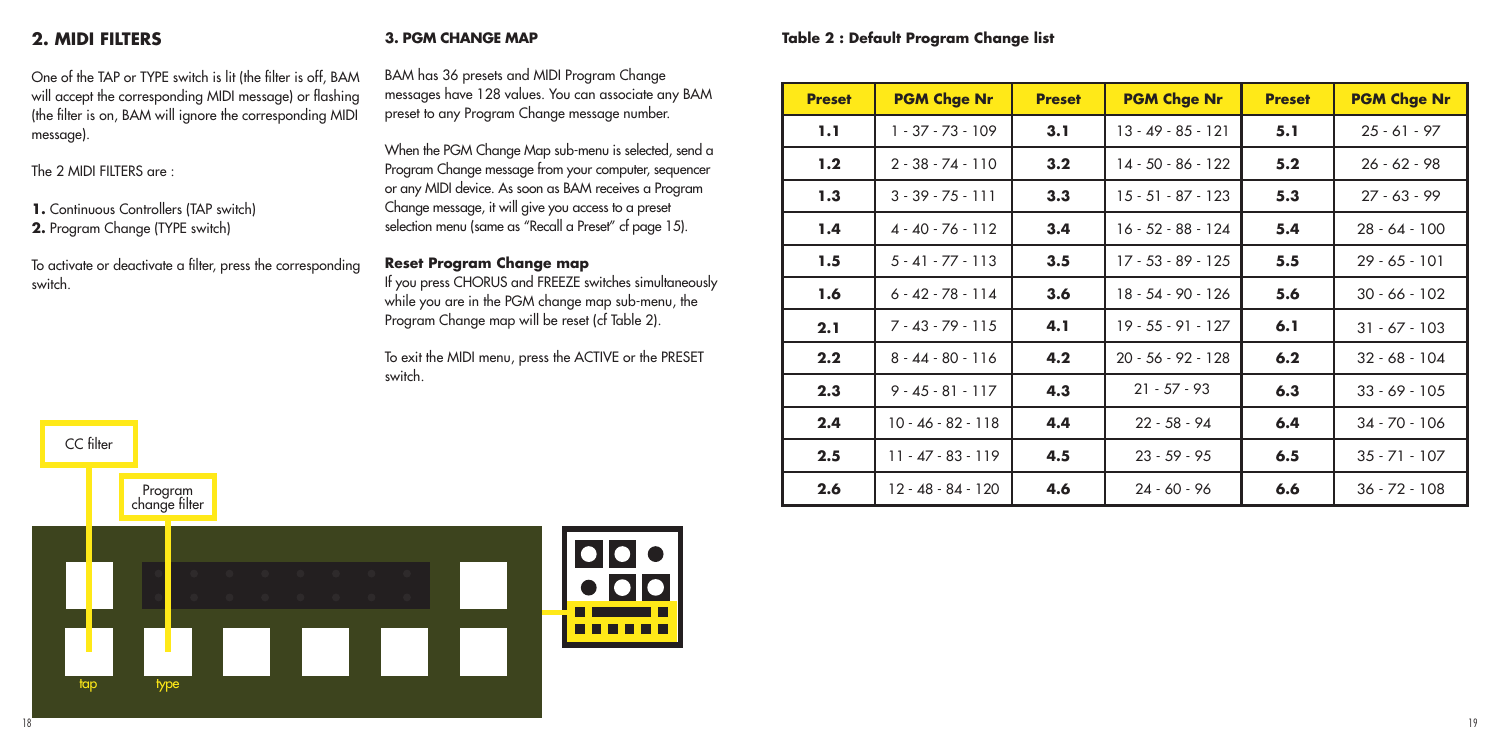## **2. MIDI FILTERS**

#### **3. PGM CHANGE MAP**

One of the TAP or TYPE switch is lit (the filter is off, BAM will accept the corresponding MIDI message) or flashing (the filter is on, BAM will ignore the corresponding MIDI message).

The 2 MIDI FILTERS are :

CC filter

**1.** Continuous Controllers (TAP switch) **2.** Program Change (TYPE switch)

To activate or deactivate a filter, press the corresponding switch.

BAM has 36 presets and MIDI Program Change messages have 128 values. You can associate any BAM preset to any Program Change message number.

When the PGM Change Map sub-menu is selected, send a Program Change message from your computer, sequencer or any MIDI device. As soon as BAM receives a Program Change message, it will give you access to a preset selection menu (same as "Recall a Preset" cf page 15).

#### **Reset Program Change map**

If you press CHORUS and FREEZE switches simultaneously while you are in the PGM change map sub-menu, the Program Change map will be reset (cf Table 2).

To exit the MIDI menu, press the ACTIVE or the PRESET switch.

#### **Table 2 : Default Program Change list**

| <b>Preset</b> | <b>PGM Chge Nr</b>   | <b>Preset</b> | <b>PGM Chge Nr</b>   | <b>Preset</b> | <b>PGM Chge Nr</b> |
|---------------|----------------------|---------------|----------------------|---------------|--------------------|
| 1.1           | $1 - 37 - 73 - 109$  | 3.1           | $13 - 49 - 85 - 121$ | 5.1           | $25 - 61 - 97$     |
| 1.2           | $2 - 38 - 74 - 110$  | 3.2           | $14 - 50 - 86 - 122$ | 5.2           | $26 - 62 - 98$     |
| 1.3           | $3 - 39 - 75 - 111$  | 3.3           | $15 - 51 - 87 - 123$ | 5.3           | $27 - 63 - 99$     |
| 1.4           | $4 - 40 - 76 - 112$  | 3.4           | $16 - 52 - 88 - 124$ | 5.4           | $28 - 64 - 100$    |
| 1.5           | $5 - 41 - 77 - 113$  | 3.5           | $17 - 53 - 89 - 125$ | 5.5           | $29 - 65 - 101$    |
| 1.6           | $6 - 42 - 78 - 114$  | 3.6           | 18 - 54 - 90 - 126   | 5.6           | $30 - 66 - 102$    |
| 2.1           | $7 - 43 - 79 - 115$  | 4.1           | $19 - 55 - 91 - 127$ | 6.1           | $31 - 67 - 103$    |
| 2.2           | $8 - 44 - 80 - 116$  | 4.2           | $20 - 56 - 92 - 128$ | 6.2           | $32 - 68 - 104$    |
| 2.3           | $9 - 45 - 81 - 117$  | 4.3           | $21 - 57 - 93$       | 6.3           | $33 - 69 - 105$    |
| 2.4           | $10 - 46 - 82 - 118$ | 4.4           | $22 - 58 - 94$       | 6.4           | $34 - 70 - 106$    |
| 2.5           | $11 - 47 - 83 - 119$ | 4.5           | $23 - 59 - 95$       | 6.5           | $35 - 71 - 107$    |
| 2.6           | $12 - 48 - 84 - 120$ | 4.6           | $24 - 60 - 96$       | 6.6           | $36 - 72 - 108$    |





tap type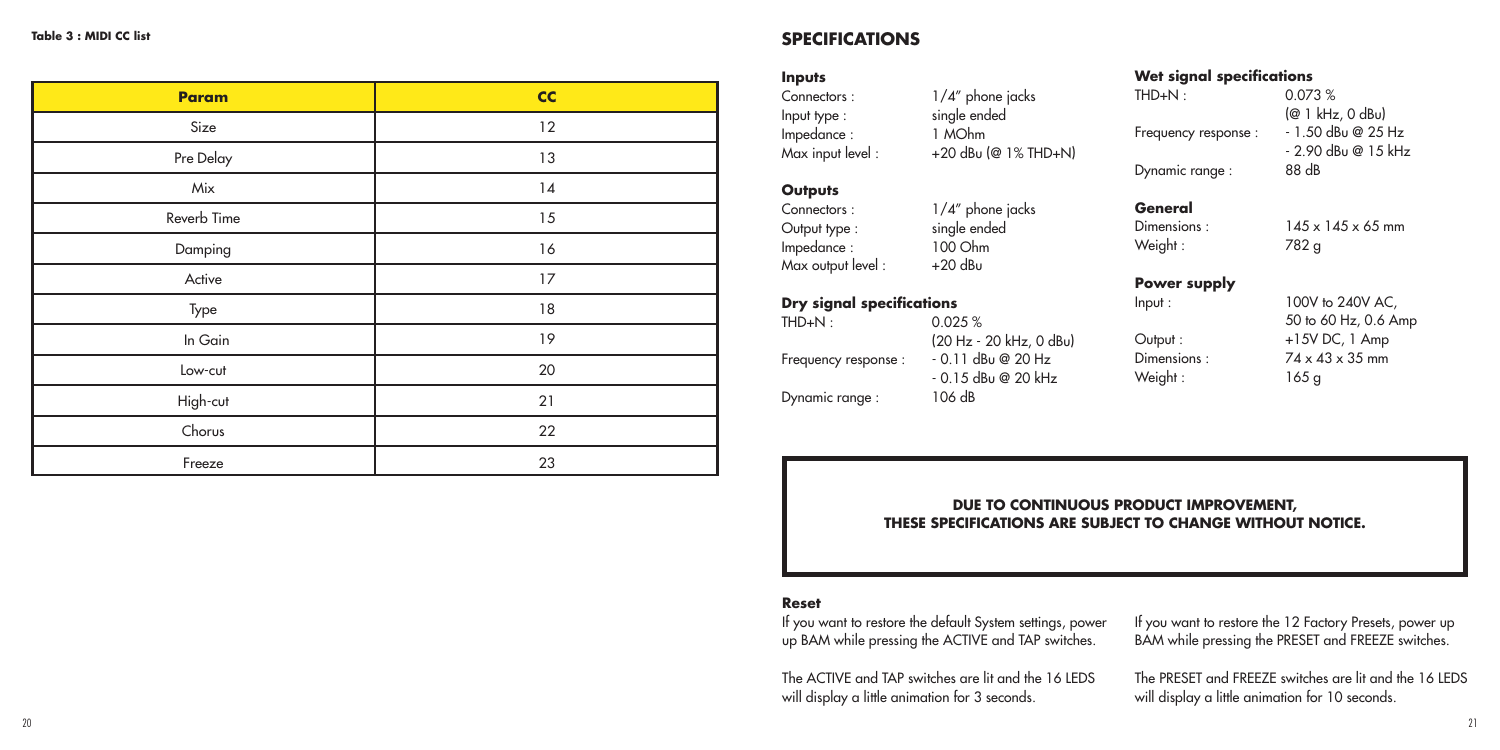| <b>Param</b> | <b>CC</b> |
|--------------|-----------|
| Size         | 12        |
| Pre Delay    | 13        |
| Mix          | 14        |
| Reverb Time  | 15        |
| Damping      | 16        |
| Active       | 17        |
| Type         | 18        |
| In Gain      | 19        |
| Low-cut      | 20        |
| High-cut     | 21        |
| Chorus       | 22        |
| Freeze       | 23        |

## **SPECIFICATIONS**

#### **Inputs**

Connectors : 1/4" phone jacks Input type : single ended Impedance : 1 MOhm Max input level : : +20 dBu (@ 1% THD+N )

#### **Outputs**

Connectors : : 1/4" phone jacks Output type: single ended Impedance : 100 Ohm Max output level :  $+20$  dBu

#### **Dry signal speci fcations**

#### $THD+N:$ : 0.025 % (20 Hz - 20 kHz, 0 dBu ) Frequency response : - 0.11 dBu @ 20 Hz - 0.15 dBu @ 20 kHz Dynamic range : 106 dB

#### **Wet signal speci fcations**

 $THD+N:$ : 0.073 % (@ 1 kHz, 0 dBu ) Frequency response : - 1.50 dBu @ 25 Hz - 2.90 dBu @ 15 kHz Dynamic range : 88 dB

#### **General** Dimensions ·

Weight :

Input :

Output:

Weight :

Dimensions:

 $145 \times 145 \times 65$  mm : 782 g

#### **Power supply**

: 100V to 240V AC, 50 to 60 Hz, 0.6 Amp : +15V DC, 1 Amp : 74 x 43 x 35 mm : 165 g

#### **DUE TO CONTINUOUS PRODUCT IMPROVEMENT, THESE SPECIFICATIONS ARE SUBJECT TO CHANGE WITHOUT NOTICE.**

#### **Reset**

If you want to restore the default System settings, power up BAM while pressing the ACTIVE and TAP switches.

The ACTIVE and TAP switches are lit and the 16 LEDS will display a little animation for 3 seconds.

If you want to restore the 12 Factory Presets, power up BAM while pressing the PRESET and FREEZE switches.

The PRESET and FREEZE switches are lit and the 16 LEDS will display a little animation for 10 seconds.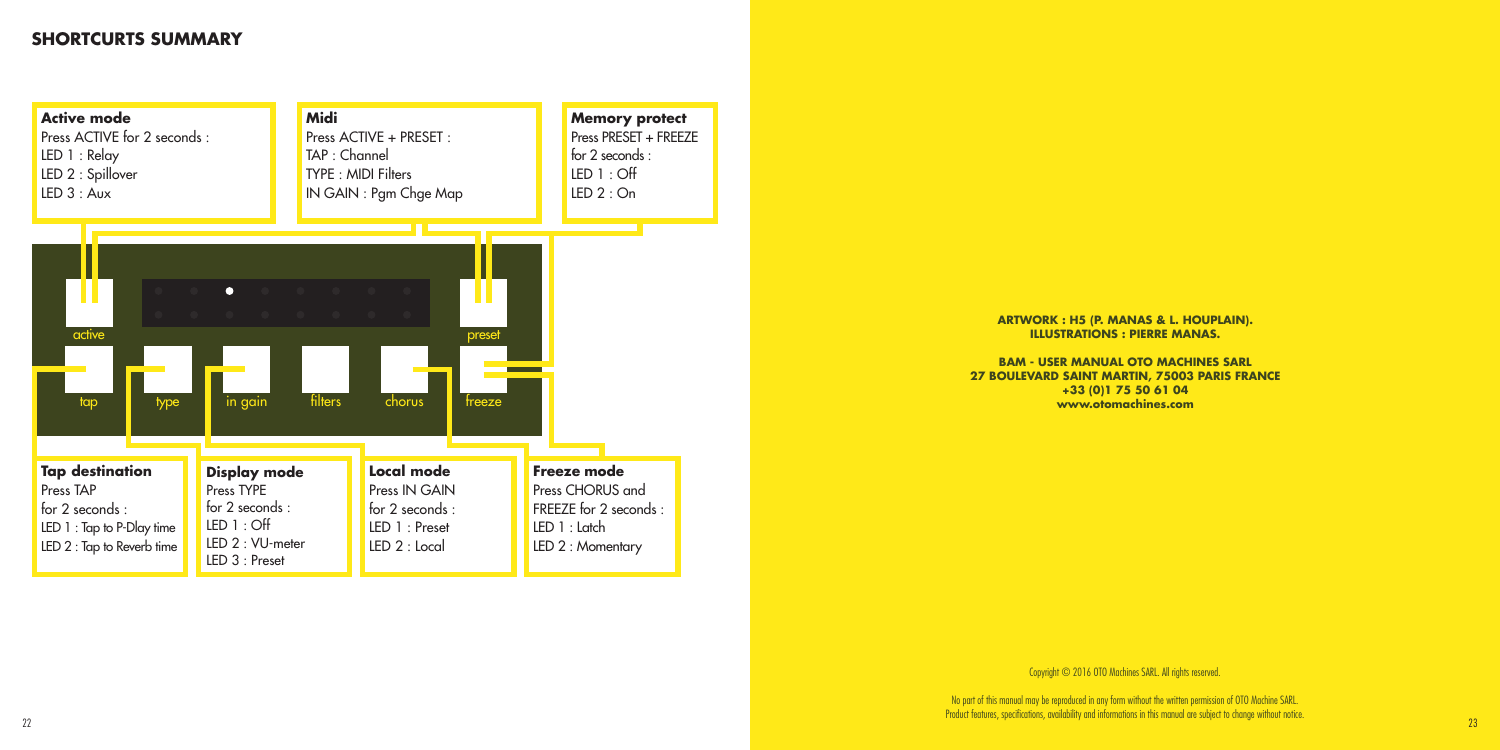#### **SHORTCURTS SUMMARY**



**ARTWORK : H5 (P. MANAS & L. HOUPLAIN). ILLUSTRATIONS : PIERRE MANAS.**

**BAM - USER MANUAL OTO MACHINES SARL 27 BOULEVARD SAINT MARTIN, 75003 PARIS FRANCE +33 (0)1 75 50 61 04**

Copyright © 2016 OTO Machines SARL. All rights reserved.

 $22$ No part of this manual may be reproduced in any form without the written permission of OTO Machine SARL. Product features, specifications, availability and informations in this manual are subject to change without notice.